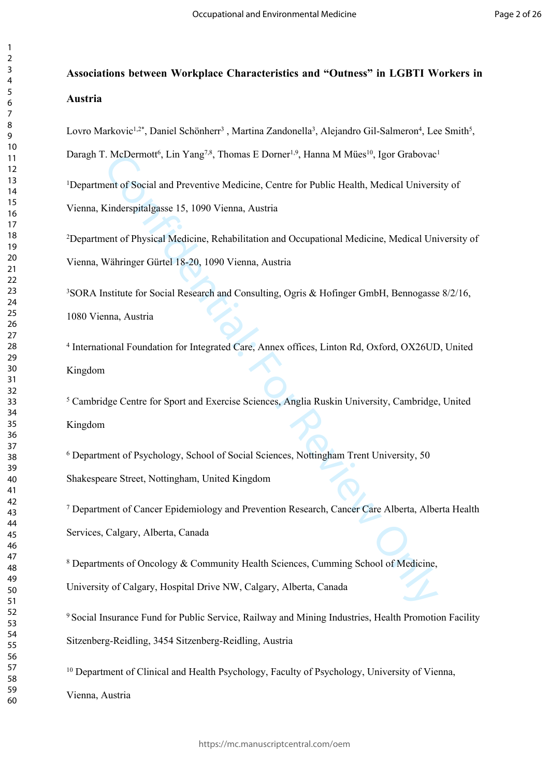# **Associations between Workplace Characteristics and "Outness" in LGBTI Workers in Austria**

Lovro Markovic<sup>1,2\*</sup>, Daniel Schönherr<sup>3</sup>, Martina Zandonella<sup>3</sup>, Alejandro Gil-Salmeron<sup>4</sup>, Lee Smith<sup>5</sup>,

Daragh T. McDermott<sup>6</sup>, Lin Yang<sup>7,8</sup>, Thomas E Dorner<sup>1,9</sup>, Hanna M Mües<sup>10</sup>, Igor Grabovac<sup>1</sup>

1Department of Social and Preventive Medicine, Centre for Public Health, Medical University of Vienna, Kinderspitalgasse 15, 1090 Vienna, Austria

2Department of Physical Medicine, Rehabilitation and Occupational Medicine, Medical University of Vienna, Währinger Gürtel 18-20, 1090 Vienna, Austria

<sup>3</sup>SORA Institute for Social Research and Consulting, Ogris & Hofinger GmbH, Bennogasse 8/2/16, 1080 Vienna, Austria

4 International Foundation for Integrated Care, Annex offices, Linton Rd, Oxford, OX26UD, United Kingdom

5 Cambridge Centre for Sport and Exercise Sciences, Anglia Ruskin University, Cambridge, United Kingdom

6 Department of Psychology, School of Social Sciences, Nottingham Trent University, 50

Shakespeare Street, Nottingham, United Kingdom

Confidential: And Miles Parker, America, Hama M. Miles Parker, Hamat M. Miles Parker<br>apiral: Hamat Medicial University Simeterity (For Rublic Health, Medical University Simeterspital<br>gasse 15, 1090 Vienna, Austria<br>control 7 Department of Cancer Epidemiology and Prevention Research, Cancer Care Alberta, Alberta Health Services, Calgary, Alberta, Canada

8 Departments of Oncology & Community Health Sciences, Cumming School of Medicine,

University of Calgary, Hospital Drive NW, Calgary, Alberta, Canada

9 Social Insurance Fund for Public Service, Railway and Mining Industries, Health Promotion Facility Sitzenberg-Reidling, 3454 Sitzenberg-Reidling, Austria

<sup>10</sup> Department of Clinical and Health Psychology, Faculty of Psychology, University of Vienna,

Vienna, Austria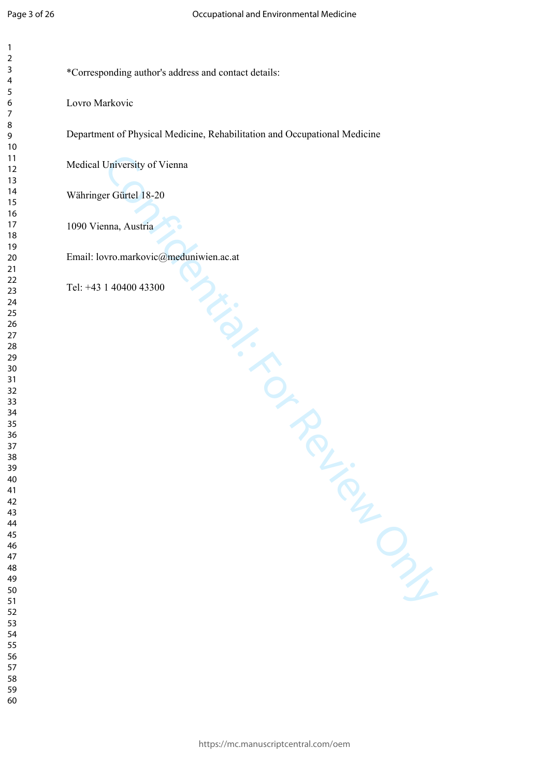| 3                   |  |
|---------------------|--|
| 4                   |  |
| 5                   |  |
| 6                   |  |
|                     |  |
|                     |  |
| 8                   |  |
| 9                   |  |
| $\overline{10}$     |  |
| 1<br>1              |  |
| 1<br>$\overline{c}$ |  |
| $\overline{13}$     |  |
|                     |  |
| 1<br>4              |  |
| 1<br>5              |  |
| 16<br>17            |  |
|                     |  |
| 18                  |  |
| 19                  |  |
| $\overline{20}$     |  |
|                     |  |
| $\overline{21}$     |  |
| $^{22}$             |  |
| 23                  |  |
| 24                  |  |
| 25                  |  |
| $\frac{26}{5}$      |  |
| $^{27}$             |  |
|                     |  |
| 28                  |  |
| 29                  |  |
| 30                  |  |
| 31                  |  |
| $\overline{32}$     |  |
| 33                  |  |
| $\frac{34}{5}$      |  |
|                     |  |
| 35                  |  |
| 36                  |  |
| 37                  |  |
| 38                  |  |
| 39                  |  |
| 11                  |  |
| 41                  |  |
|                     |  |
| 42                  |  |
| 43                  |  |
| 44                  |  |
| 45                  |  |
| 46                  |  |
| 47                  |  |
| 48                  |  |
|                     |  |
| 49                  |  |
| 50                  |  |
| 51                  |  |
| 5.<br>,             |  |
| 53                  |  |
| 54                  |  |
| 55                  |  |
|                     |  |
| 56                  |  |
| 5.                  |  |
| 58                  |  |

  \*Corresponding author's address and contact details:

Lovro Markovic

Department of Physical Medicine, Rehabilitation and Occupational Medicine

Medical University of Vienna

Währinger Gürtel 18-20

1090 Vienna, Austria

Invisores Miller Concept Concept Concept Concept Concept Concept Concept Concept Concept Concept Concept Concept Concept Concept Concept Concept Concept Concept Concept Concept Concept Concept Concept Concept Concept Conce Email: [lovro.markovic@meduniwien.ac.at](mailto:lovro.markovic@meduniwien.ac.at)

Tel: +43 1 40400 43300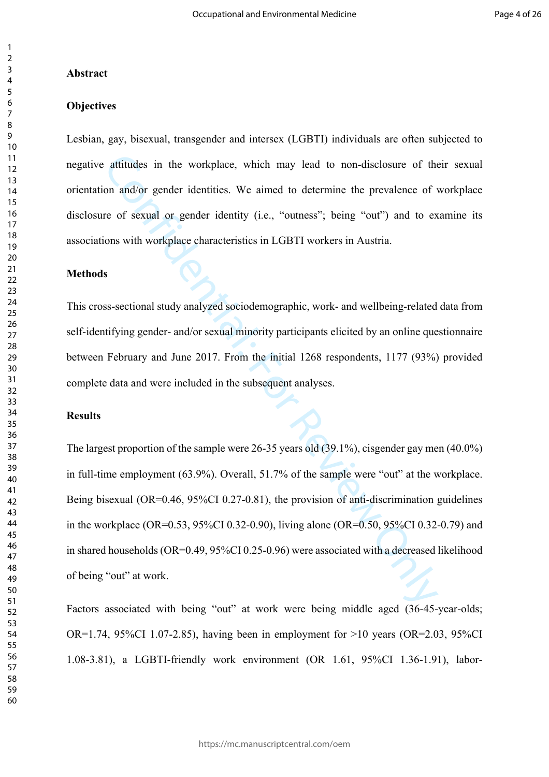# **Abstract**

# **Objectives**

Lesbian, gay, bisexual, transgender and intersex (LGBTI) individuals are often subjected to negative attitudes in the workplace, which may lead to non-disclosure of their sexual orientation and/or gender identities. We aimed to determine the prevalence of workplace disclosure of sexual or gender identity (i.e., "outness"; being "out") and to examine its associations with workplace characteristics in LGBTI workers in Austria.

#### **Methods**

This cross-sectional study analyzed sociodemographic, work- and wellbeing-related data from self-identifying gender- and/or sexual minority participants elicited by an online questionnaire between February and June 2017. From the initial 1268 respondents, 1177 (93%) provided complete data and were included in the subsequent analyses.

# **Results**

 in full-time employment (63.9%). Overall, 51.7% of the sample were "out" at the workplace. attitudes in the workplace, which may lead to non-disclosure of the<br>on and/or gender identities. We aimed to determine the prevalence of y<br>re of sexual or gender identity (i.e., "outness"; being "out") and to ex<br>ons with The largest proportion of the sample were 26-35 years old (39.1%), cisgender gay men (40.0%) Being bisexual (OR=0.46, 95%CI 0.27-0.81), the provision of anti-discrimination guidelines in the workplace (OR=0.53, 95%CI 0.32-0.90), living alone (OR=0.50, 95%CI [0.32-0.79\)](https://0.32-0.79) and in shared households (OR=0.49, 95%CI 0.25-0.96) were associated with a decreased likelihood of being "out" at work.

Factors associated with being "out" at work were being middle aged (36-45-year-olds; OR=1.74, 95%CI [1.07-2.85](https://1.07-2.85)), having been in employment for >10 years (OR=2.03, 95%CI [1.08-3.81\)](https://1.08-3.81), a LGBTI-friendly work environment (OR 1.61, 95%CI [1.36-1.91\)](https://1.36-1.91), labor-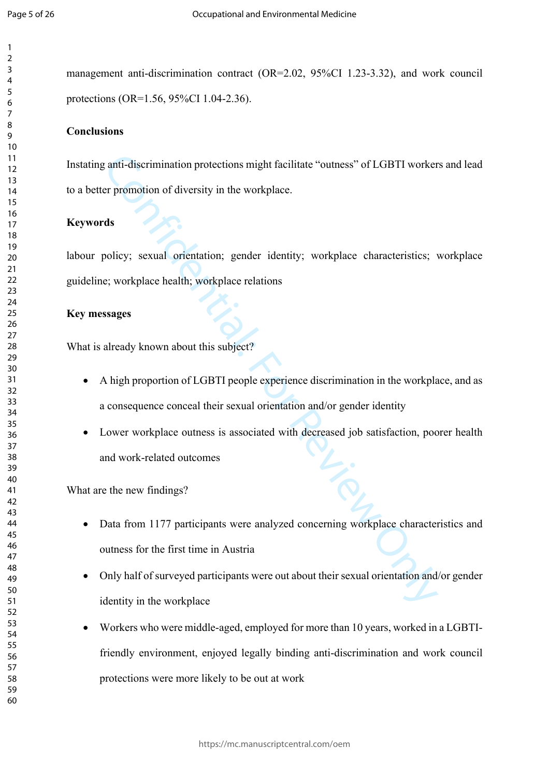management anti-discrimination contract (OR=2.02, 95%CI [1.23-3.32](https://1.23-3.32)), and work council protections (OR=1.56, 95%CI [1.04-2.36\)](https://1.04-2.36).

# **Conclusions**

Instating anti-discrimination protections might facilitate "outness" of LGBTI workers and lead to a better promotion of diversity in the workplace.

# **Keywords**

labour policy; sexual orientation; gender identity; workplace characteristics; workplace guideline; workplace health; workplace relations

# **Key messages**

What is already known about this subject?

- A high proportion of LGBTI people experience discrimination in the workplace, and as a consequence conceal their sexual orientation and/or gender identity
- Lower workplace outness is associated with decreased job satisfaction, poorer health and work-related outcomes

What are the new findings?

- Data from 1177 participants were analyzed concerning workplace characteristics and outness for the first time in Austria
- The state of states and their states and their sext<br>and their sexted orientations of LGBTI worker<br>or promotion of diversity in the workplace.<br>As<br>disconcing the state of the state of the state of the state of the state of<br>e Only half of surveyed participants were out about their sexual orientation and/or gender identity in the workplace
- Workers who were middle-aged, employed for more than 10 years, worked in a LGBTIfriendly environment, enjoyed legally binding anti-discrimination and work council protections were more likely to be out at work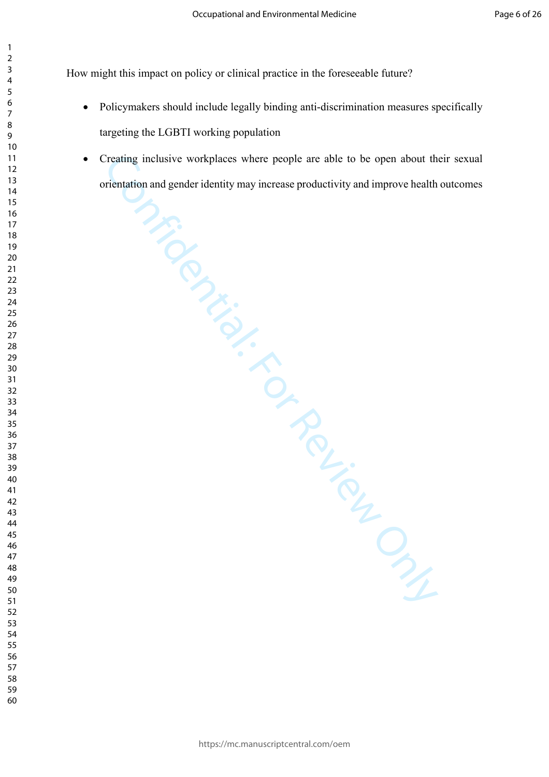How might this impact on policy or clinical practice in the foreseeable future?

- Policymakers should include legally binding anti-discrimination measures specifically targeting the LGBTI working population
- Creating inclusive workplaces where people are able to be open about the<br>rientation and gender identity may increase productivity and improve health<br>dependent of the set of the set of the set of the set of the set of the s Creating inclusive workplaces where people are able to be open about their sexual orientation and gender identity may increase productivity and improve health outcomes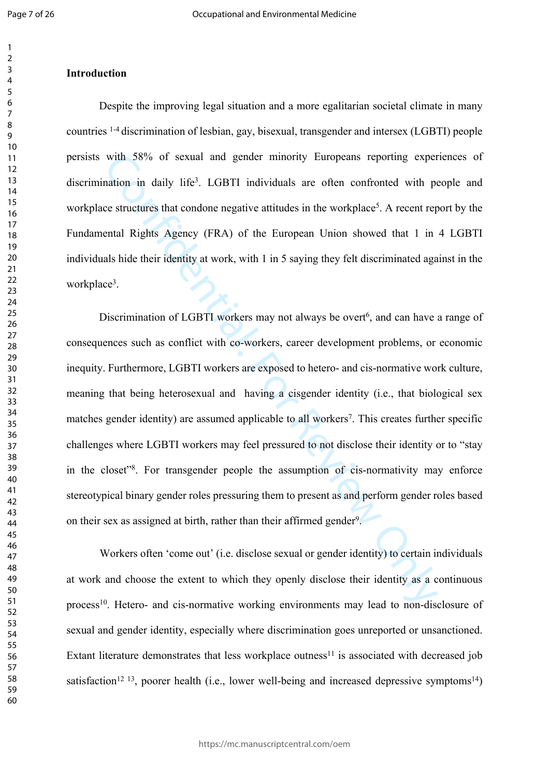#### 

#### **Introduction**

workplace structures that condone negative attitudes in the workplace<sup>5</sup>. A recent report by the Despite the improving legal situation and a more egalitarian societal climate in many countries 1-4 discrimination of lesbian, gay, bisexual, transgender and intersex (LGBTI) people persists with 58% of sexual and gender minority Europeans reporting experiences of discrimination in daily life3. LGBTI individuals are often confronted with people and Fundamental Rights Agency (FRA) of the European Union showed that 1 in 4 LGBTI individuals hide their identity at work, with 1 in 5 saying they felt discriminated against in the workplace3.

 meaning that being heterosexual and having a cisgender identity (i.e., that biological sex with 58% of sexual and gender minority Europeans reporting exper<br>attion in daily life<sup>3</sup>. LGBTI individuals are often confronted with pe<br>c structures that condone negative attitudes in the workplace<sup>5</sup>. A recent rep<br>ental Discrimination of LGBTI workers may not always be overt<sup>6</sup>, and can have a range of consequences such as conflict with co-workers, career development problems, or economic inequity. Furthermore, LGBTI workers are exposed to hetero- and cis-normative work culture, matches gender identity) are assumed applicable to all workers<sup>7</sup>. This creates further specific challenges where LGBTI workers may feel pressured to not disclose their identity or to "stay in the closet"8. For transgender people the assumption of cis-normativity may enforce stereotypical binary gender roles pressuring them to present as and perform gender roles based on their sex as assigned at birth, rather than their affirmed gender<sup>9</sup>.

 at work and choose the extent to which they openly disclose their identity as a continuous Extant literature demonstrates that less workplace outness<sup>11</sup> is associated with decreased job Workers often 'come out' (i.e. disclose sexual or gender identity) to certain individuals process<sup>10</sup>. Hetero- and cis-normative working environments may lead to non-disclosure of sexual and gender identity, especially where discrimination goes unreported or unsanctioned. satisfaction<sup>12 13</sup>, poorer health (i.e., lower well-being and increased depressive symptoms<sup>14</sup>)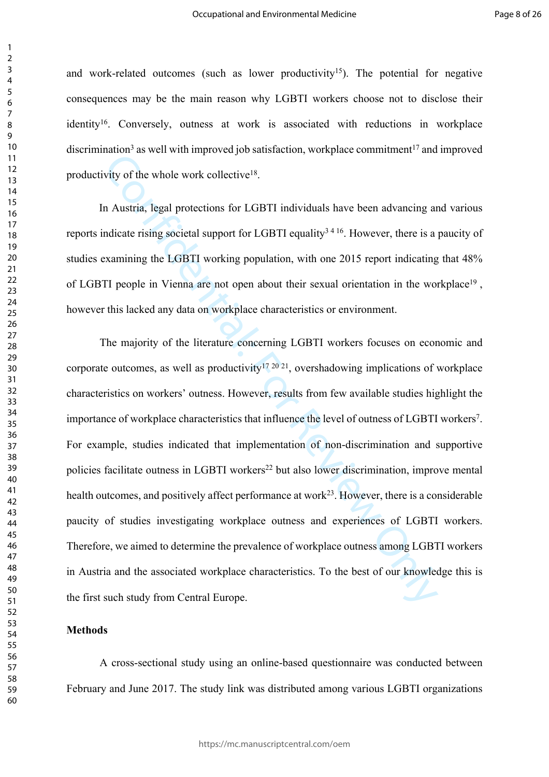discrimination<sup>3</sup> as well with improved job satisfaction, workplace commitment<sup>17</sup> and improved and work-related outcomes (such as lower productivity<sup>15</sup>). The potential for negative consequences may be the main reason why LGBTI workers choose not to disclose their identity16. Conversely, outness at work is associated with reductions in workplace productivity of the whole work collective18.

In Austria, legal protections for LGBTI individuals have been advancing and various reports indicate rising societal support for LGBTI equality<sup>3416</sup>. However, there is a paucity of studies examining the LGBTI working population, with one 2015 report indicating that 48% of LGBTI people in Vienna are not open about their sexual orientation in the workplace19 , however this lacked any data on workplace characteristics or environment.

policies facilitate outness in LGBTI workers<sup>22</sup> but also lower discrimination, improve mental Matter as near matterial inprobability, and particular and the state of the state of the state of the whole work collective<sup>18</sup>.<br>
A Austria, legal protections for LGBTI equality<sup>14-16</sup>. However, there is a paramining the The majority of the literature concerning LGBTI workers focuses on economic and corporate outcomes, as well as productivity<sup>17 20 21</sup>, overshadowing implications of workplace characteristics on workers' outness. However, results from few available studies highlight the importance of workplace characteristics that influence the level of outness of LGBTI workers7. For example, studies indicated that implementation of non-discrimination and supportive health outcomes, and positively affect performance at work<sup>23</sup>. However, there is a considerable paucity of studies investigating workplace outness and experiences of LGBTI workers. Therefore, we aimed to determine the prevalence of workplace outness among LGBTI workers in Austria and the associated workplace characteristics. To the best of our knowledge this is the first such study from Central Europe.

#### **Methods**

A cross-sectional study using an online-based questionnaire was conducted between February and June 2017. The study link was distributed among various LGBTI organizations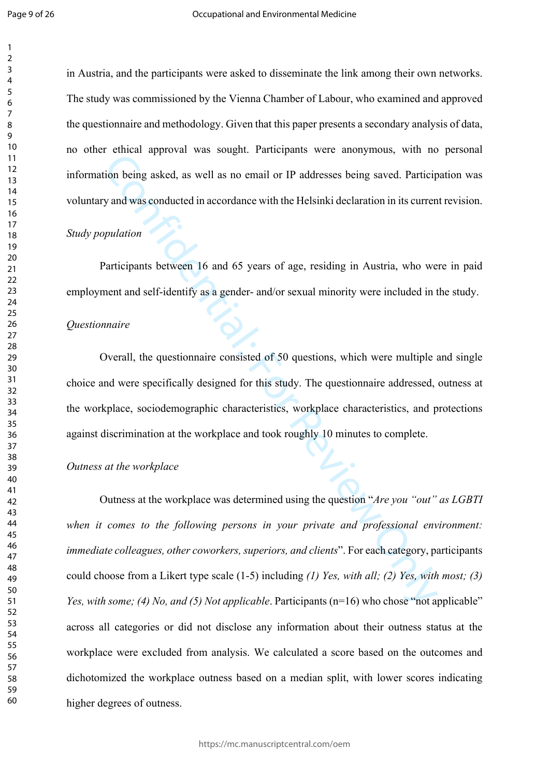in Austria, and the participants were asked to disseminate the link among their own networks. The study was commissioned by the Vienna Chamber of Labour, who examined and approved the questionnaire and methodology. Given that this paper presents a secondary analysis of data, no other ethical approval was sought. Participants were anonymous, with no personal information being asked, as well as no email or IP addresses being saved. Participation was voluntary and was conducted in accordance with the Helsinki declaration in its current revision.

#### *Study population*

Participants between 16 and 65 years of age, residing in Austria, who were in paid employment and self-identify as a gender- and/or sexual minority were included in the study.

#### *Questionnaire*

Overall, the questionnaire consisted of 50 questions, which were multiple and single choice and were specifically designed for this study. The questionnaire addressed, outness at the workplace, sociodemographic characteristics, workplace characteristics, and protections against discrimination at the workplace and took roughly 10 minutes to complete.

# *Outness at the workplace*

 could choose from a Likert type scale (1-5) including *(1) Yes, with all; (2) Yes, with most; (3)*  Consumeration and solution. Therefore the monopological is not<br>ion being asked, as well as no email or IP addresses being saved. Particip<br>yand was conducted in accordance with the Helsinki declaration in its curren<br>pulati Outness at the workplace was determined using the question "*Are you "out" as LGBTI when it comes to the following persons in your private and professional environment: immediate colleagues, other coworkers, superiors, and clients*". For each category, participants *Yes, with some; (4) No, and (5) Not applicable.* Participants (n=16) who chose "not applicable" across all categories or did not disclose any information about their outness status at the workplace were excluded from analysis. We calculated a score based on the outcomes and dichotomized the workplace outness based on a median split, with lower scores indicating higher degrees of outness.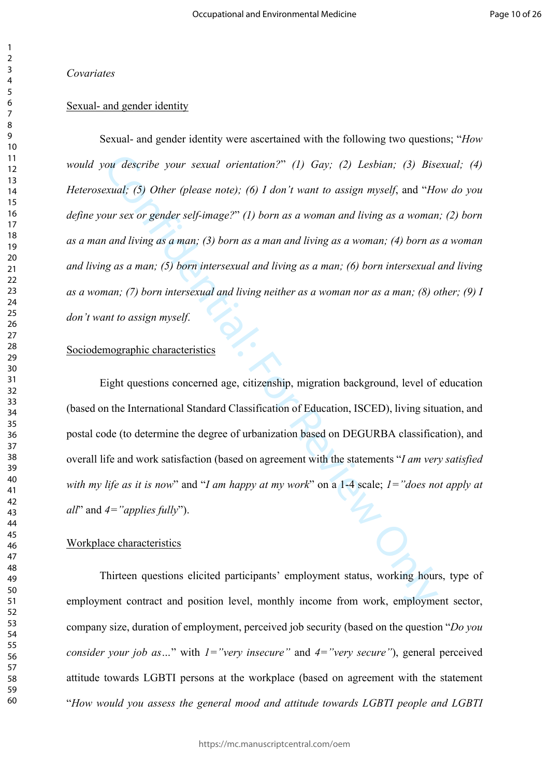*Covariates* 

# Sexual- and gender identity

ou describe your sexual orientation?" (1) Gay; (2) Lesbian; (3) Bisexual; (5) Other (please note); (6) I don't want to assign myself, and "Ileady and "Constant" (1) born as a woman and living as a woman and living as a ma Sexual- and gender identity were ascertained with the following two questions; "*How would you describe your sexual orientation?*" *(1) Gay; (2) Lesbian; (3) Bisexual; (4) Heterosexual; (5) Other (please note); (6) I don't want to assign myself*, and "*How do you define your sex or gender self-image?*" *(1) born as a woman and living as a woman; (2) born as a man and living as a man; (3) born as a man and living as a woman; (4) born as a woman and living as a man; (5) born intersexual and living as a man; (6) born intersexual and living as a woman; (7) born intersexual and living neither as a woman nor as a man; (8) other; (9) I don't want to assign myself*.

# Sociodemographic characteristics

 overall life and work satisfaction (based on agreement with the statements "*I am very satisfied with my life as it is now*" and "*I am happy at my work*" on a 1-4 scale; *1="does not apply at*  Eight questions concerned age, citizenship, migration background, level of education (based on the International Standard Classification of Education, ISCED), living situation, and postal code (to determine the degree of urbanization based on DEGURBA classification), and *all*" and *4="applies fully*").

#### Workplace characteristics

Thirteen questions elicited participants' employment status, working hours, type of employment contract and position level, monthly income from work, employment sector, company size, duration of employment, perceived job security (based on the question "*Do you consider your job as...*" with *1*="very insecure" and *4*="very secure"), general perceived attitude towards LGBTI persons at the workplace (based on agreement with the statement "*How would you assess the general mood and attitude towards LGBTI people and LGBTI*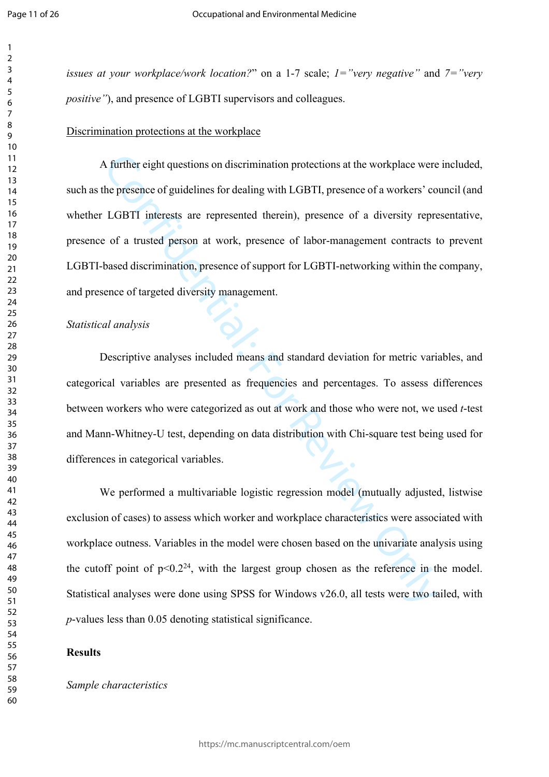*issues at your workplace/work location?*" on a 1-7 scale; *1="very negative"* and *7="very positive"*), and presence of LGBTI supervisors and colleagues.

#### Discrimination protections at the workplace

 whether LGBTI interests are represented therein), presence of a diversity representative, A further eight questions on discrimination protections at the workplace were<br>he presence of guidelines for dealing with LGBTI, presence of a workers' co<br>LGBTI interests are represented therein), presence of a diversity r A further eight questions on discrimination protections at the workplace were included, such as the presence of guidelines for dealing with LGBTI, presence of a workers' council (and presence of a trusted person at work, presence of labor-management contracts to prevent LGBTI-based discrimination, presence of support for LGBTI-networking within the company, and presence of targeted diversity management.

#### *Statistical analysis*

Descriptive analyses included means and standard deviation for metric variables, and categorical variables are presented as frequencies and percentages. To assess differences between workers who were categorized as out at work and those who were not, we used *t*-test and Mann-Whitney-U test, depending on data distribution with Chi-square test being used for differences in categorical variables.

 Statistical analyses were done using SPSS for Windows v26.0, all tests were two tailed, with We performed a multivariable logistic regression model (mutually adjusted, listwise exclusion of cases) to assess which worker and workplace characteristics were associated with workplace outness. Variables in the model were chosen based on the univariate analysis using the cutoff point of  $p<0.2^{24}$ , with the largest group chosen as the reference in the model. *p*-values less than 0.05 denoting statistical significance.

#### **Results**

# *Sample characteristics*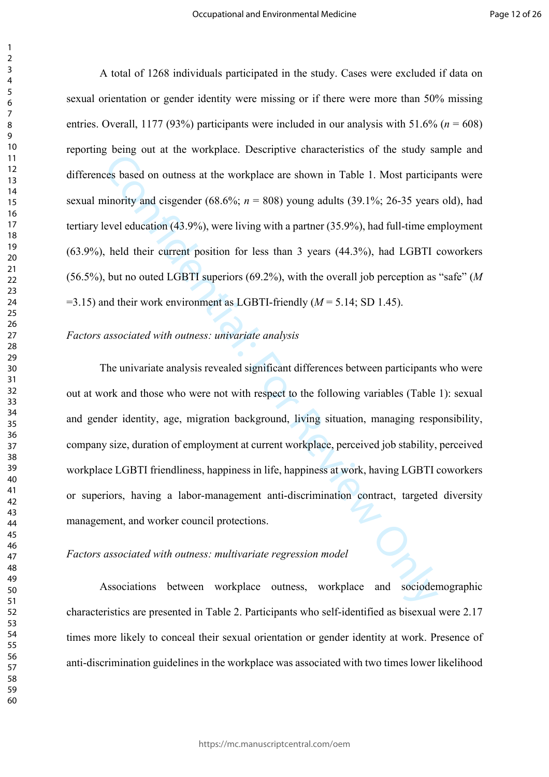(56.5%), but no outed LGBTI superiors (69.2%), with the overall job perception as "safe" (*M*  A total of 1268 individuals participated in the study. Cases were excluded if data on sexual orientation or gender identity were missing or if there were more than 50% missing entries. Overall, 1177 (93%) participants were included in our analysis with  $51.6\%$  ( $n = 608$ ) reporting being out at the workplace. Descriptive characteristics of the study sample and differences based on outness at the workplace are shown in Table 1. Most participants were sexual minority and cisgender (68.6%;  $n = 808$ ) young adults (39.1%; 26-35 years old), had tertiary level education (43.9%), were living with a partner (35.9%), had full-time employment (63.9%), held their current position for less than 3 years (44.3%), had LGBTI coworkers =3.15) and their work environment as LGBTI-friendly (*M* = 5.14; SD 1.45).

#### *Factors associated with outness: univariate analysis*

below that the workplace. Hostenpiere but<br>and the last of the state of the state of the state of the state of<br>ses based on outness at the workplace are shown in Table 1. Most particip<br>inority and eisgender (68.6%;  $n = 808$ The univariate analysis revealed significant differences between participants who were out at work and those who were not with respect to the following variables (Table 1): sexual and gender identity, age, migration background, living situation, managing responsibility, company size, duration of employment at current workplace, perceived job stability, perceived workplace LGBTI friendliness, happiness in life, happiness at work, having LGBTI coworkers or superiors, having a labor-management anti-discrimination contract, targeted diversity management, and worker council protections.

# *Factors associated with outness: multivariate regression model*

 anti-discrimination guidelines in the workplace was associated with two times lower likelihood Associations between workplace outness, workplace and sociodemographic characteristics are presented in Table 2. Participants who self-identified as bisexual were 2.17 times more likely to conceal their sexual orientation or gender identity at work. Presence of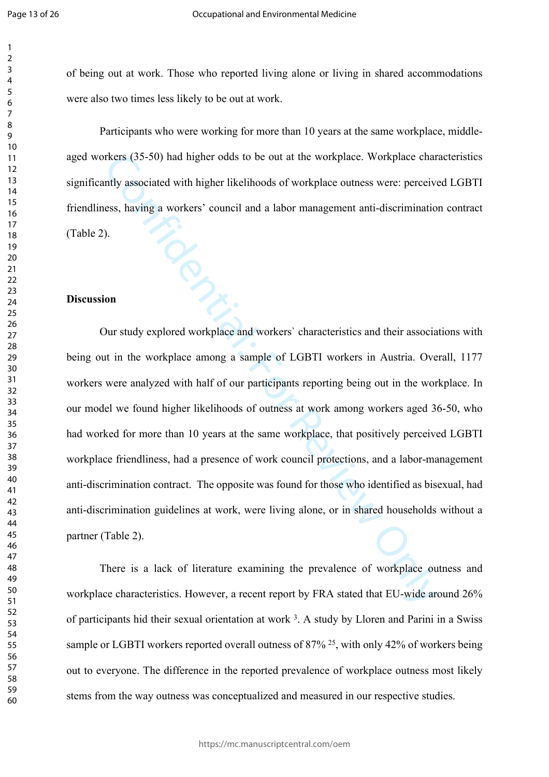of being out at work. Those who reported living alone or living in shared accommodations were also two times less likely to be out at work.

Participants who were working for more than 10 years at the same workplace, middleaged workers (35-50) had higher odds to be out at the workplace. Workplace characteristics significantly associated with higher likelihoods of workplace outness were: perceived LGBTI friendliness, having a workers' council and a labor management anti-discrimination contract (Table 2).

#### **Discussion**

 Our study explored workplace and workers` characteristics and their associations with our model we found higher likelihoods of outness at work among workers aged 36-50, who workplace friendliness, had a presence of work council protections, and a labor-management anti-discrimination contract. The opposite was found for those who identified as bisexual, had anti-discrimination guidelines at work, were living alone, or in shared households without a rkers (35-50) had higher odds to be out at the workplace. Workplace chare<br>the associated with higher likelihoods of workplace outness were: perceives<br>s, having a workers' council and a labor management anti-discrimination<br> being out in the workplace among a sample of LGBTI workers in Austria. Overall, 1177 workers were analyzed with half of our participants reporting being out in the workplace. In had worked for more than 10 years at the same workplace, that positively perceived LGBTI partner (Table 2).

 There is a lack of literature examining the prevalence of workplace outness and workplace characteristics. However, a recent report by FRA stated that EU-wide around 26% of participants hid their sexual orientation at work 3. A study by Lloren and Parini in a Swiss sample or LGBTI workers reported overall outness of 87% <sup>25</sup>, with only 42% of workers being out to everyone. The difference in the reported prevalence of workplace outness most likely stems from the way outness was conceptualized and measured in our respective studies.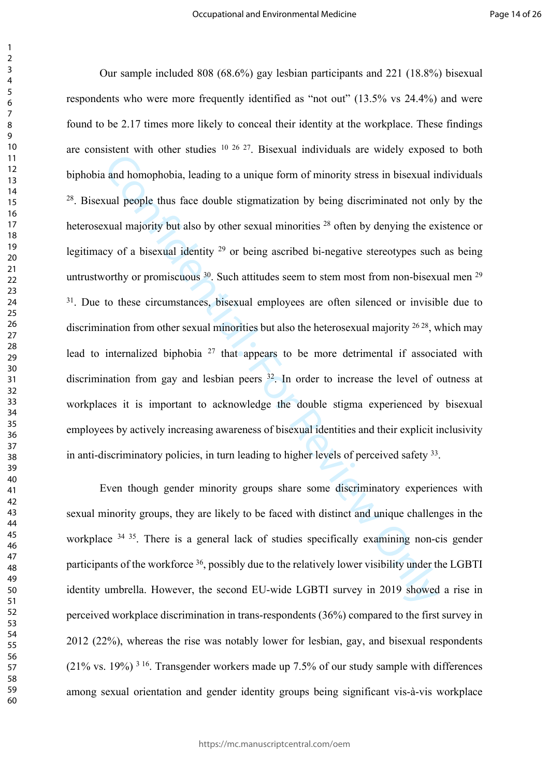untrustworthy or promiscuous . Such attitudes seem to stem most from non-bisexual men  $29$ <sup>31</sup>. Due to these circumstances, bisexual employees are often silenced or invisible due to discrimination from other sexual minorities but also the heterosexual majority , which may Example the state of the state of the state of the state of the state of the state of the state of the state and homophobia, leading to a unique form of minority stress in bisexual in cual people thus face double stigmati Our sample included 808 (68.6%) gay lesbian participants and 221 (18.8%) bisexual respondents who were more frequently identified as "not out" (13.5% vs 24.4%) and were found to be 2.17 times more likely to conceal their identity at the workplace. These findings are consistent with other studies 10 26 27. Bisexual individuals are widely exposed to both biphobia and homophobia, leading to a unique form of minority stress in bisexual individuals 28. Bisexual people thus face double stigmatization by being discriminated not only by the heterosexual majority but also by other sexual minorities <sup>28</sup> often by denying the existence or legitimacy of a bisexual identity 29 or being ascribed bi-negative stereotypes such as being lead to internalized biphobia 27 that appears to be more detrimental if associated with discrimination from gay and lesbian peers 32. In order to increase the level of outness at workplaces it is important to acknowledge the double stigma experienced by bisexual employees by actively increasing awareness of bisexual identities and their explicit inclusivity in anti-discriminatory policies, in turn leading to higher levels of perceived safety 33.

workplace <sup>34 35</sup>. There is a general lack of studies specifically examining non-cis gender Even though gender minority groups share some discriminatory experiences with sexual minority groups, they are likely to be faced with distinct and unique challenges in the participants of the workforce <sup>36</sup>, possibly due to the relatively lower visibility under the LGBTI identity umbrella. However, the second EU-wide LGBTI survey in 2019 showed a rise in perceived workplace discrimination in trans-respondents (36%) compared to the first survey in 2012 (22%), whereas the rise was notably lower for lesbian, gay, and bisexual respondents (21% vs. 19%) 3 16. Transgender workers made up 7.5% of our study sample with differences among sexual orientation and gender identity groups being significant vis-à-vis workplace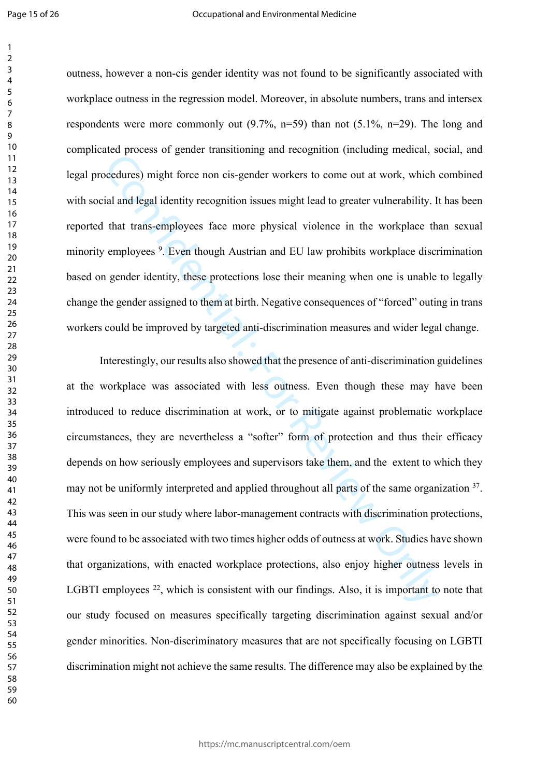legal procedures) might force non cis-gender workers to come out at work, which combined change the gender assigned to them at birth. Negative consequences of "forced" outing in trans outness, however a non-cis gender identity was not found to be significantly associated with workplace outness in the regression model. Moreover, in absolute numbers, trans and intersex respondents were more commonly out  $(9.7\%, n=59)$  than not  $(5.1\%, n=29)$ . The long and complicated process of gender transitioning and recognition (including medical, social, and with social and legal identity recognition issues might lead to greater vulnerability. It has been reported that trans-employees face more physical violence in the workplace than sexual minority employees 9. Even though Austrian and EU law prohibits workplace discrimination based on gender identity, these protections lose their meaning when one is unable to legally workers could be improved by targeted anti-discrimination measures and wider legal change.

External interestingly, our results and split and the procedure and split forces and split force in on the second terms of the split and legal identity recognition issues might lead to greater vulnerability. I<br>that trans-e Interestingly, our results also showed that the presence of anti-discrimination guidelines at the workplace was associated with less outness. Even though these may have been introduced to reduce discrimination at work, or to mitigate against problematic workplace circumstances, they are nevertheless a "softer" form of protection and thus their efficacy depends on how seriously employees and supervisors take them, and the extent to which they may not be uniformly interpreted and applied throughout all parts of the same organization <sup>37</sup>. This was seen in our study where labor-management contracts with discrimination protections, were found to be associated with two times higher odds of outness at work. Studies have shown that organizations, with enacted workplace protections, also enjoy higher outness levels in LGBTI employees <sup>22</sup>, which is consistent with our findings. Also, it is important to note that our study focused on measures specifically targeting discrimination against sexual and/or gender minorities. Non-discriminatory measures that are not specifically focusing on LGBTI discrimination might not achieve the same results. The difference may also be explained by the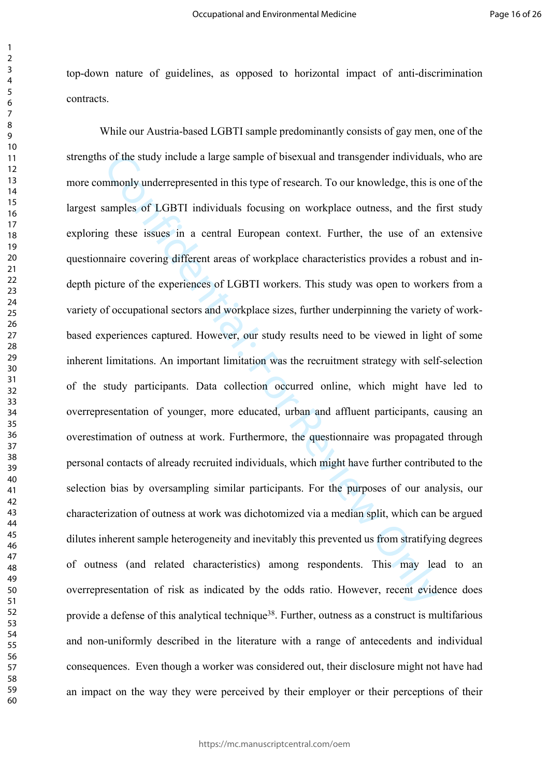top-down nature of guidelines, as opposed to horizontal impact of anti-discrimination contracts.

 more commonly underrepresented in this type of research. To our knowledge, this is one of the exploring these issues in a central European context. Further, the use of an extensive of the study include a large sample of bisexual and transgender individuals<br>mmonly underrepresented in this type of research. To our knowledge, this is<br>amples of LGBTI individuals focusing on workplace outness, and the t<br>g While our Austria-based LGBTI sample predominantly consists of gay men, one of the strengths of the study include a large sample of bisexual and transgender individuals, who are largest samples of LGBTI individuals focusing on workplace outness, and the first study questionnaire covering different areas of workplace characteristics provides a robust and indepth picture of the experiences of LGBTI workers. This study was open to workers from a variety of occupational sectors and workplace sizes, further underpinning the variety of workbased experiences captured. However, our study results need to be viewed in light of some inherent limitations. An important limitation was the recruitment strategy with self-selection of the study participants. Data collection occurred online, which might have led to overrepresentation of younger, more educated, urban and affluent participants, causing an overestimation of outness at work. Furthermore, the questionnaire was propagated through personal contacts of already recruited individuals, which might have further contributed to the selection bias by oversampling similar participants. For the purposes of our analysis, our characterization of outness at work was dichotomized via a median split, which can be argued dilutes inherent sample heterogeneity and inevitably this prevented us from stratifying degrees of outness (and related characteristics) among respondents. This may lead to an overrepresentation of risk as indicated by the odds ratio. However, recent evidence does provide a defense of this analytical technique<sup>38</sup>. Further, outness as a construct is multifarious and non-uniformly described in the literature with a range of antecedents and individual consequences. Even though a worker was considered out, their disclosure might not have had an impact on the way they were perceived by their employer or their perceptions of their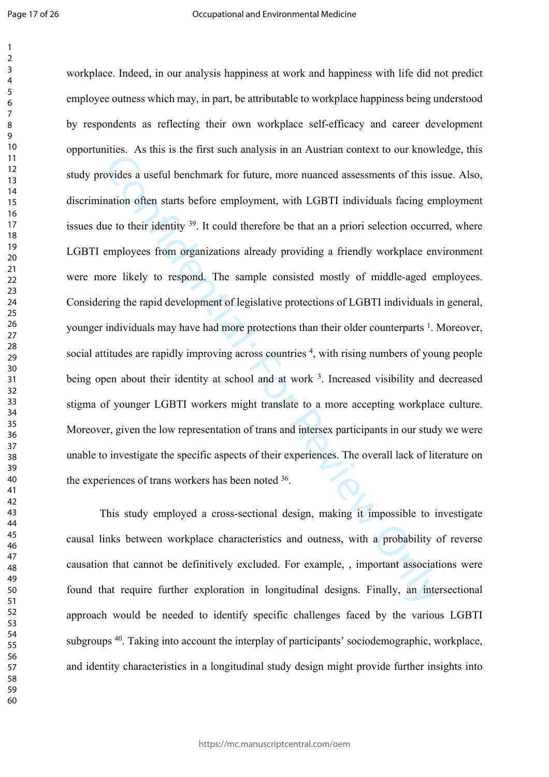These Test and to the thin deta- analysis in an Adelmar content to duration<br>ovides a useful benchmark for future, more nuanced assessments of this is<br>antion often starts before employment, with LGBTI individuals facing er<br> workplace. Indeed, in our analysis happiness at work and happiness with life did not predict employee outness which may, in part, be attributable to workplace happiness being understood by respondents as reflecting their own workplace self-efficacy and career development opportunities. As this is the first such analysis in an Austrian context to our knowledge, this study provides a useful benchmark for future, more nuanced assessments of this issue. Also, discrimination often starts before employment, with LGBTI individuals facing employment issues due to their identity . It could therefore be that an a priori selection occurred, where LGBTI employees from organizations already providing a friendly workplace environment were more likely to respond. The sample consisted mostly of middle-aged employees. Considering the rapid development of legislative protections of LGBTI individuals in general, younger individuals may have had more protections than their older counterparts <sup>1</sup>. Moreover, social attitudes are rapidly improving across countries <sup>4</sup>, with rising numbers of young people being open about their identity at school and at work <sup>3</sup>. Increased visibility and decreased stigma of younger LGBTI workers might translate to a more accepting workplace culture. Moreover, given the low representation of trans and intersex participants in our study we were unable to investigate the specific aspects of their experiences. The overall lack of literature on the experiences of trans workers has been noted 36.

 and identity characteristics in a longitudinal study design might provide further insights into This study employed a cross-sectional design, making it impossible to investigate causal links between workplace characteristics and outness, with a probability of reverse causation that cannot be definitively excluded. For example, , important associations were found that require further exploration in longitudinal designs. Finally, an intersectional approach would be needed to identify specific challenges faced by the various LGBTI subgroups 40. Taking into account the interplay of participants' sociodemographic, workplace,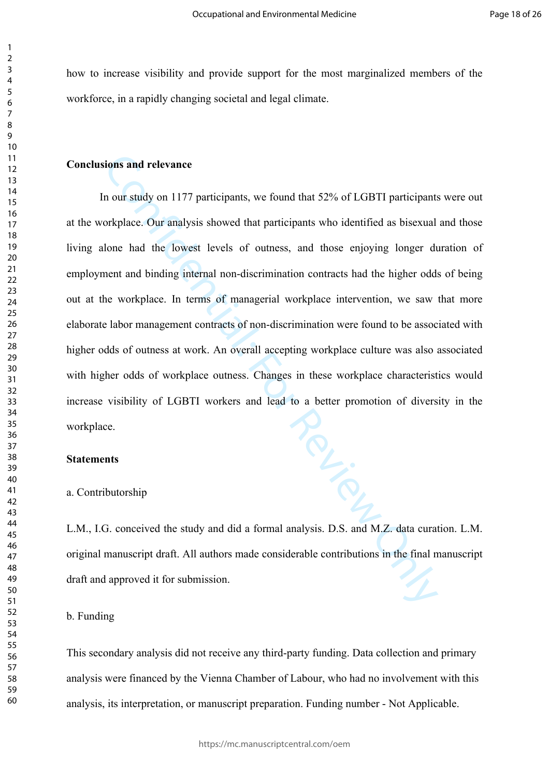how to increase visibility and provide support for the most marginalized members of the workforce, in a rapidly changing societal and legal climate.

# **Conclusions and relevance**

 at the workplace. Our analysis showed that participants who identified as bisexual and those living alone had the lowest levels of outness, and those enjoying longer duration of France and relevance<br>
and relevance<br>
and row study on 1177 participants, we found that 52% of LGBTI participants<br>
orkylace. Our analysis showed that participants who identified as bisexual<br>
lone had the lowest levels of ou In our study on 1177 participants, we found that 52% of LGBTI participants were out employment and binding internal non-discrimination contracts had the higher odds of being out at the workplace. In terms of managerial workplace intervention, we saw that more elaborate labor management contracts of non-discrimination were found to be associated with higher odds of outness at work. An overall accepting workplace culture was also associated with higher odds of workplace outness. Changes in these workplace characteristics would increase visibility of LGBTI workers and lead to a better promotion of diversity in the workplace.

#### **Statements**

#### a. Contributorship

L.M., I.G. conceived the study and did a formal analysis. D.S. and M.Z. data curation. L.M. original manuscript draft. All authors made considerable contributions in the final manuscript draft and approved it for submission.

#### b. Funding

This secondary analysis did not receive any third-party funding. Data collection and primary analysis were financed by the Vienna Chamber of Labour, who had no involvement with this analysis, its interpretation, or manuscript preparation. Funding number - Not Applicable.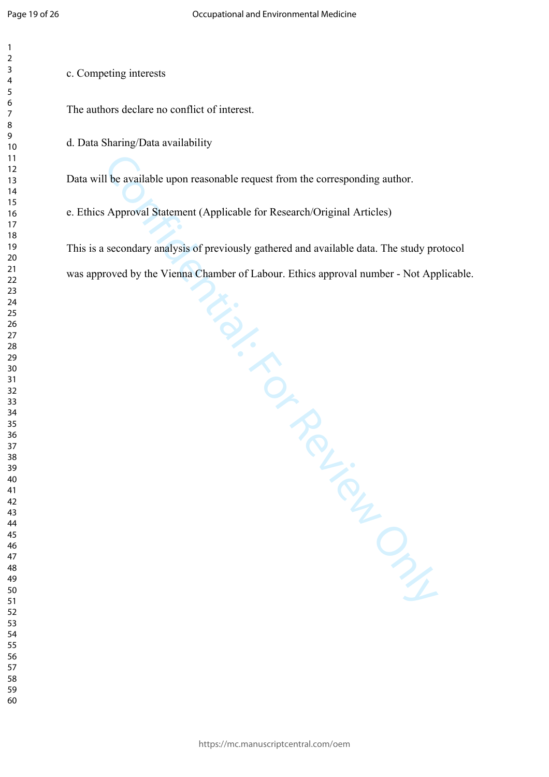c. Competing interests

The authors declare no conflict of interest.

d. Data Sharing/Data availability

Data will be available upon reasonable request from the corresponding author.

e. Ethics Approval Statement (Applicable for Research/Original Articles)

I be available upon reasonable request from the corresponding author.<br>
Approval Statement (Applicable for Research/Original Articles)<br>
secondary analysis of previously gathered and available data. The study proved by the V This is a secondary analysis of previously gathered and available data. The study protocol was approved by the Vienna Chamber of Labour. Ethics approval number - Not Applicable.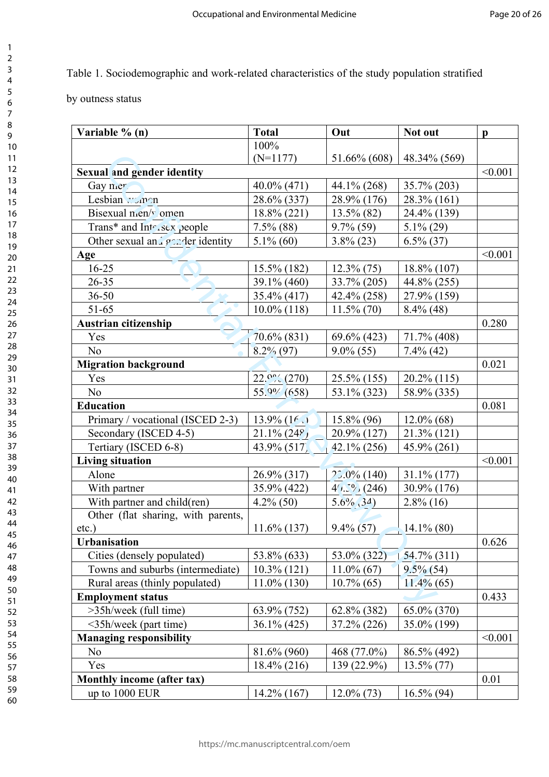# Table 1. Sociodemographic and work-related characteristics of the study population stratified

by outness status

| Variable % (n)                     | <b>Total</b>      | Out            | Not out        | $\mathbf{p}$ |
|------------------------------------|-------------------|----------------|----------------|--------------|
|                                    | 100%              |                |                |              |
|                                    | $(N=1177)$        | 51.66% (608)   | 48.34% (569)   |              |
| <b>Sexual and gender identity</b>  |                   |                |                | < 0.001      |
| Gay mer                            | $40.0\%$ (471)    | 44.1% (268)    | $35.7\% (203)$ |              |
| Lesbian younen                     | 28.6% (337)       | 28.9% (176)    | 28.3% (161)    |              |
| Bisexual men/v omen                | 18.8% (221)       | $13.5\%$ (82)  | 24.4% (139)    |              |
| Trans* and Intersex people         | $7.5\%$ (88)      | $9.7\%$ (59)   | $5.1\%$ (29)   |              |
| Other sexual and gender identity   | $5.1\%$ (60)      | $3.8\%$ (23)   | $6.5\%$ (37)   |              |
| Age                                |                   |                |                | < 0.001      |
| $16 - 25$                          | 15.5% (182)       | $12.3\%$ (75)  | $18.8\%$ (107) |              |
| $26 - 35$                          | 39.1% (460)       | 33.7% (205)    | 44.8% (255)    |              |
| $36 - 50$                          | 35.4% (417)       | 42.4% (258)    | 27.9% (159)    |              |
| $51 - 65$                          | $10.0\%$ (118)    | $11.5\%$ (70)  | $8.4\%$ (48)   |              |
| Austrian citizenship               |                   |                |                | 0.280        |
| Yes                                | 70.6% (831)       | $69.6\%$ (423) | 71.7% (408)    |              |
| No                                 | $8.2\%$ (97)      | $9.0\%$ (55)   | $7.4\%$ (42)   |              |
| <b>Migration background</b>        |                   |                |                | 0.021        |
| Yes                                | $22.0\% (270)$    | $25.5\%$ (155) | $20.2\%$ (115) |              |
| N <sub>o</sub>                     | $55.9\%$ (658)    | 53.1% (323)    | 58.9% (335)    |              |
| <b>Education</b>                   |                   |                |                | 0.081        |
| Primary / vocational (ISCED 2-3)   | $13.9\%$ (16.1)   | $15.8\%$ (96)  | $12.0\%$ (68)  |              |
| Secondary (ISCED 4-5)              | $21.1\%$ $(24\%)$ | 20.9% (127)    | 21.3% (121)    |              |
| Tertiary (ISCED 6-8)               | $43.9\%$ (517)    | $42.1\% (256)$ | $45.9\% (261)$ |              |
| <b>Living situation</b>            |                   |                |                | < 0.001      |
| Alone                              | 26.9% (317)       | $22.0\%$ (140) | $31.1\%$ (177) |              |
| With partner                       | 35.9% (422)       | $4(x^2)(246)$  | 30.9% (176)    |              |
| With partner and child(ren)        | $4.2\%$ (50)      | $5.6\%$ (34)   | $2.8\%$ (16)   |              |
| Other (flat sharing, with parents, |                   |                |                |              |
| $etc.$ )                           | $11.6\%$ (137)    | $9.4\%$ (57)   | $14.1\%$ (80)  |              |
| <b>Urbanisation</b>                |                   |                |                | 0.626        |
| Cities (densely populated)         | 53.8% (633)       | 53.0% (322)    | $54.7\%$ (311) |              |
| Towns and suburbs (intermediate)   | $10.3\%$ (121)    | $11.0\%$ (67)  | $9.5\%$ (54)   |              |
| Rural areas (thinly populated)     | $11.0\%$ (130)    | $10.7\%$ (65)  | $11.4\%$ (65)  |              |
| <b>Employment status</b>           |                   |                |                | 0.433        |
| >35h/week (full time)              | 63.9% (752)       | 62.8% (382)    | 65.0% (370)    |              |
| <35h/week (part time)              | $36.1\% (425)$    | 37.2% (226)    | 35.0% (199)    |              |
| <b>Managing responsibility</b>     |                   |                |                | < 0.001      |
| N <sub>o</sub>                     | 81.6% (960)       | 468 (77.0%)    | 86.5% (492)    |              |
| Yes                                | 18.4% (216)       | 139 (22.9%)    | $13.5\%$ (77)  |              |
| Monthly income (after tax)         |                   |                |                | 0.01         |
| up to 1000 EUR                     | $14.2\%$ (167)    | $12.0\%$ (73)  | $16.5\%$ (94)  |              |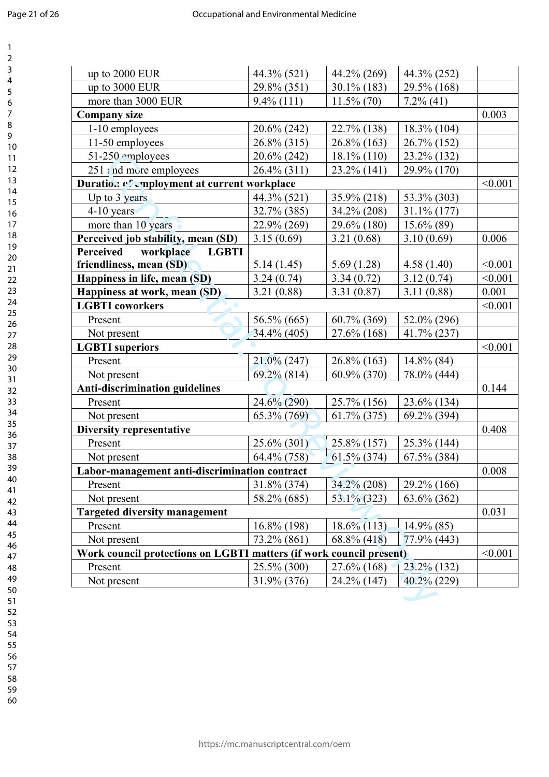| up to 2000 EUR                                                      | 44.3% (521)    | 44.2% (269)    | 44.3% (252)    |         |
|---------------------------------------------------------------------|----------------|----------------|----------------|---------|
| up to 3000 EUR                                                      | 29.8% (351)    | 30.1% (183)    | 29.5% (168)    |         |
| more than 3000 EUR                                                  | $9.4\%$ (111)  | $11.5\%$ (70)  | $7.2\%$ (41)   |         |
| <b>Company size</b>                                                 |                |                |                | 0.003   |
| 1-10 employees                                                      | 20.6% (242)    | 22.7% (138)    | 18.3% (104)    |         |
| 11-50 employees                                                     | 26.8% (315)    | 26.8% (163)    | 26.7% (152)    |         |
| 51-250 employees                                                    | 20.6% (242)    | $18.1\%$ (110) | 23.2% (132)    |         |
| $251$ and more employees                                            | 26.4% (311)    | 23.2% (141)    | 29.9% (170)    |         |
| Duration of employment at current workplace                         |                |                |                | < 0.001 |
| Up to 3 years                                                       | 44.3% (521)    | 35.9% (218)    | 53.3% (303)    |         |
| $4-10$ years                                                        | 32.7% (385)    | 34.2% (208)    | $31.1\%$ (177) |         |
| more than 10 years                                                  | 22.9% (269)    | 29.6% (180)    | $15.6\%$ (89)  |         |
| Perceived job stability, mean (SD)                                  | 3.15(0.69)     | 3.21(0.68)     | 3.10(0.69)     | 0.006   |
| Perceived<br>workplace<br><b>LGBTI</b>                              |                |                |                |         |
| friendliness, mean (SD)                                             | 5.14(1.45)     | 5.69(1.28)     | 4.58(1.40)     | < 0.001 |
| Happiness in life, mean (SD)                                        | 3.24(0.74)     | 3.34(0.72)     | 3.12(0.74)     | < 0.001 |
| Happiness at work, mean (SD)                                        | 3.21(0.88)     | 3.31(0.87)     | 3.11(0.88)     | 0.001   |
| <b>LGBTI</b> coworkers                                              |                |                |                | < 0.001 |
| Present                                                             | 56.5% (665)    | 60.7% (369)    | 52.0% (296)    |         |
| Not present                                                         | $34.4\%$ (405) | $27.6\%$ (168) | $41.7\%$ (237) |         |
| <b>LGBTI</b> superiors                                              |                |                |                | < 0.001 |
| Present                                                             | $21.0\%$ (247) | $26.8\%$ (163) | $14.8\%$ (84)  |         |
| Not present                                                         | $69.2\%$ (814) | 60.9% (370)    | 78.0% (444)    |         |
| <b>Anti-discrimination guidelines</b>                               |                |                |                | 0.144   |
| Present                                                             | 24.6% (290)    | 25.7% (156)    | 23.6% (134)    |         |
| Not present                                                         | $65.3\% (769)$ | $61.7\%$ (375) | 69.2% (394)    |         |
| <b>Diversity representative</b>                                     |                |                |                | 0.408   |
| Present                                                             | $25.6\% (301)$ | 25.8% (157)    | 25.3% (144)    |         |
| Not present                                                         | 64.4% (758)    | 61.5% (374)    | 67.5% (384)    |         |
| Labor-management anti-discrimination contract                       |                |                |                | 0.008   |
| Present                                                             | 31.8% (374)    | 34.2% (208)    | 29.2% (166)    |         |
| Not present                                                         | 58.2% (685)    | $53.1\%$ (323) | $63.6\%$ (362) |         |
| <b>Targeted diversity management</b>                                |                |                |                | 0.031   |
| Present                                                             | $16.8\%$ (198) | $18.6\%$ (113) | $14.9\%$ (85)  |         |
| Not present                                                         | 73.2% (861)    | 68.8% (418)    | 77.9% (443)    |         |
| Work council protections on LGBTI matters (if work council present) |                |                |                | < 0.001 |
| Present                                                             | 25.5% (300)    | 27.6% (168)    | 23.2% (132)    |         |
|                                                                     |                | 24.2% (147)    | 40.2% (229)    |         |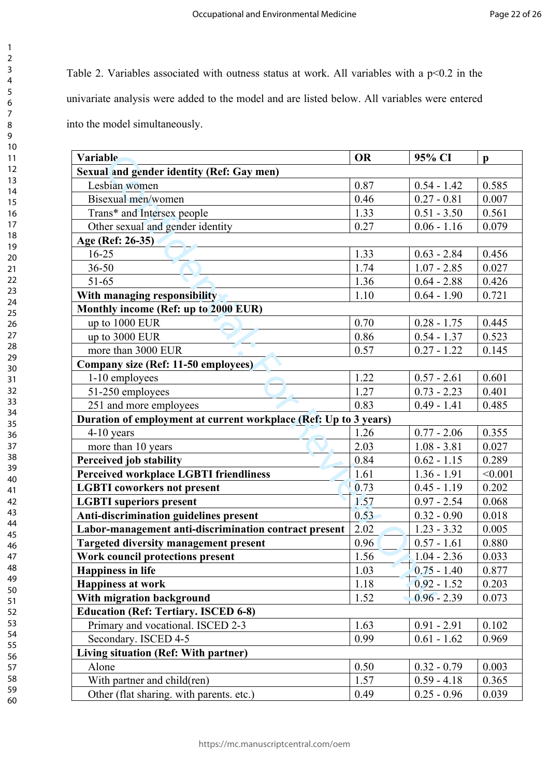univariate analysis were added to the model and are listed below. All variables were entered Table 2. Variables associated with outness status at work. All variables with a  $p<0.2$  in the into the model simultaneously.

| Variable                                                         | <b>OR</b> | 95% CI        | $\mathbf{p}$ |
|------------------------------------------------------------------|-----------|---------------|--------------|
| Sexual and gender identity (Ref: Gay men)                        |           |               |              |
| Lesbian women                                                    | 0.87      | $0.54 - 1.42$ | 0.585        |
| Bisexual men/women                                               | 0.46      | $0.27 - 0.81$ | 0.007        |
| Trans* and Intersex people                                       | 1.33      | $0.51 - 3.50$ | 0.561        |
| Other sexual and gender identity                                 | 0.27      | $0.06 - 1.16$ | 0.079        |
| Age (Ref: 26-35)                                                 |           |               |              |
| $16 - 25$                                                        | 1.33      | $0.63 - 2.84$ | 0.456        |
| $36 - 50$                                                        | 1.74      | $1.07 - 2.85$ | 0.027        |
| $51 - 65$                                                        | 1.36      | $0.64 - 2.88$ | 0.426        |
| With managing responsibility                                     | 1.10      | $0.64 - 1.90$ | 0.721        |
| Monthly income (Ref: up to 2000 EUR)                             |           |               |              |
| up to 1000 EUR                                                   | 0.70      | $0.28 - 1.75$ | 0.445        |
| up to 3000 EUR                                                   | 0.86      | $0.54 - 1.37$ | 0.523        |
| more than 3000 EUR                                               | 0.57      | $0.27 - 1.22$ | 0.145        |
| <b>Company size (Ref: 11-50 employees)</b>                       |           |               |              |
| 1-10 employees                                                   | 1.22      | $0.57 - 2.61$ | 0.601        |
| 51-250 employees                                                 | 1.27      | $0.73 - 2.23$ | 0.401        |
| 251 and more employees                                           | 0.83      | $0.49 - 1.41$ | 0.485        |
| Duration of employment at current workplace (Ref: Up to 3 years) |           |               |              |
| $4-10$ years                                                     | 1.26      | $0.77 - 2.06$ | 0.355        |
| more than 10 years                                               | 2.03      | $1.08 - 3.81$ | 0.027        |
| Perceived job stability                                          | 0.84      | $0.62 - 1.15$ | 0.289        |
| Perceived workplace LGBTI friendliness                           | 1.61      | $1.36 - 1.91$ | < 0.001      |
| <b>LGBTI</b> coworkers not present                               | 0.73      | $0.45 - 1.19$ | 0.202        |
| <b>LGBTI</b> superiors present                                   | 1.57      | $0.97 - 2.54$ | 0.068        |
| Anti-discrimination guidelines present                           | 0.53      | $0.32 - 0.90$ | 0.018        |
| Labor-management anti-discrimination contract present            | 2.02      | $1.23 - 3.32$ | 0.005        |
| <b>Targeted diversity management present</b>                     | 0.96      | $0.57 - 1.61$ | 0.880        |
| Work council protections present                                 | 1.56      | $1.04 - 2.36$ | 0.033        |
| <b>Happiness in life</b>                                         | 1.03      | $0.75 - 1.40$ | 0.877        |
| <b>Happiness at work</b>                                         | 1.18      | $0.92 - 1.52$ | 0.203        |
| With migration background                                        | 1.52      | $0.96 - 2.39$ | 0.073        |
| <b>Education (Ref: Tertiary. ISCED 6-8)</b>                      |           |               |              |
| Primary and vocational. ISCED 2-3                                | 1.63      | $0.91 - 2.91$ | 0.102        |
| Secondary. ISCED 4-5                                             | 0.99      | $0.61 - 1.62$ | 0.969        |
| Living situation (Ref: With partner)                             |           |               |              |
| Alone                                                            | 0.50      | $0.32 - 0.79$ | 0.003        |
| With partner and child(ren)                                      | 1.57      | $0.59 - 4.18$ | 0.365        |
|                                                                  |           |               |              |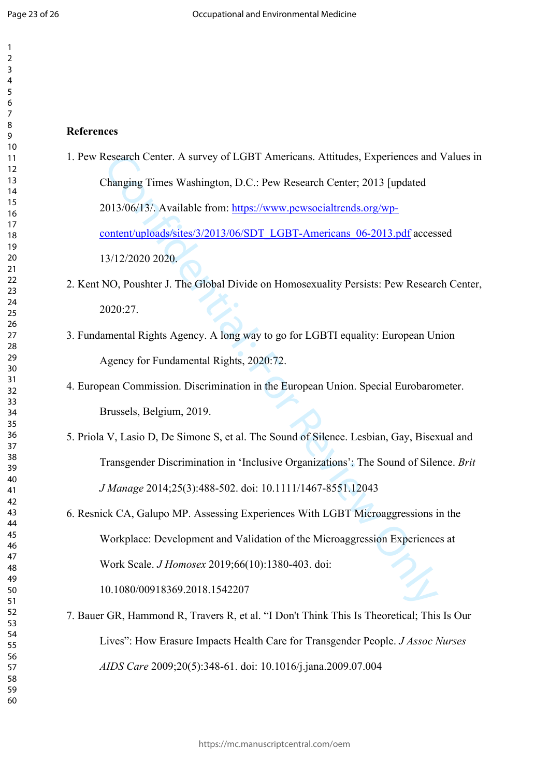# **References**

- Research Center. A survey of LGBT Americans. Attitudes, Experiences and<br>
2. The Maging Times Washington, D.C.: Pew Research Center; 2013 [updated<br>
2013/06/13/. Available from: https://www.pewsocialtrends.org/wp-<br>
2010/06/1 1. Pew Research Center. A survey of LGBT Americans. Attitudes, Experiences and Values in Changing Times Washington, D.C.: Pew Research Center; 2013 [updated 2013/06/13/. Available from: https://www.pewsocialtrends.org/wpcontent/uploads/sites/3/2013/06/SDT\_LGBT-Americans\_06-2013.pdf accessed 13/12/2020 2020.
- 2. Kent NO, Poushter J. The Global Divide on Homosexuality Persists: Pew Research Center, 2020:27.
- 3. Fundamental Rights Agency. A long way to go for LGBTI equality: European Union Agency for Fundamental Rights, 2020:72.
- 4. European Commission. Discrimination in the European Union. Special Eurobarometer. Brussels, Belgium, 2019.
- 5. Priola V, Lasio D, De Simone S, et al. The Sound of Silence. Lesbian, Gay, Bisexual and Transgender Discrimination in 'Inclusive Organizations': The Sound of Silence. *Brit J Manage* 2014;25(3):488-502. doi: 10.1111/1467-8551.12043
- 6. Resnick CA, Galupo MP. Assessing Experiences With LGBT Microaggressions in the Workplace: Development and Validation of the Microaggression Experiences at Work Scale. *J Homosex* 2019;66(10):1380-403. doi: 10.1080/00918369.2018.1542207
- 7. Bauer GR, Hammond R, Travers R, et al. "I Don't Think This Is Theoretical; This Is Our Lives": How Erasure Impacts Health Care for Transgender People. *J Assoc Nurses AIDS Care* 2009;20(5):348-61. doi: 10.1016/j.jana.2009.07.004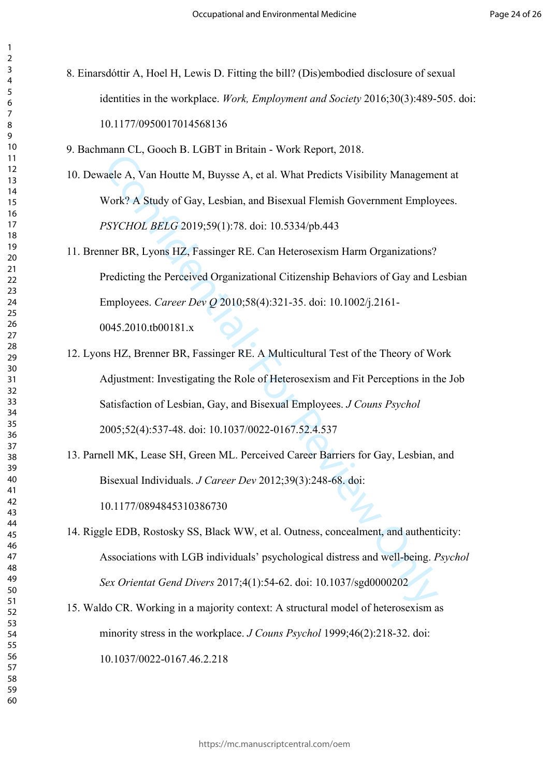- 8. Einarsdóttir A, Hoel H, Lewis D. Fitting the bill? (Dis)embodied disclosure of sexual identities in the workplace. *Work, Employment and Society* 2016;30(3):489-505. doi: 10.1177/0950017014568136
- 9. Bachmann CL, Gooch B. LGBT in Britain Work Report, 2018.
- 10. Dewaele A, Van Houtte M, Buysse A, et al. What Predicts Visibility Management at Work? A Study of Gay, Lesbian, and Bisexual Flemish Government Employees. *PSYCHOL BELG* 2019;59(1):78. doi: 10.5334/pb.443
- 11. Brenner BR, Lyons HZ, Fassinger RE. Can Heterosexism Harm Organizations? Predicting the Perceived Organizational Citizenship Behaviors of Gay and Lesbian Employees. *Career Dev Q* 2010;58(4):321-35. doi: 10.1002/j.2161- 0045.2010.tb00181.x
- nament, cooler *B*, For Fig. 1 and the Hepper, 2010.<br>
alele A, Van Houtte M, Buysse A, et al. What Predicts Visibility Manageme<br>
Work? A Study of Gay, Lesbian, and Bisexual Flemish Government Employ<br>
PSYCHOL BELG 2019;59(1 12. Lyons HZ, Brenner BR, Fassinger RE. A Multicultural Test of the Theory of Work Adjustment: Investigating the Role of Heterosexism and Fit Perceptions in the Job Satisfaction of Lesbian, Gay, and Bisexual Employees. *J Couns Psychol*  2005;52(4):537-48. doi: 10.1037/0022-0167.52.4.537
- 13. Parnell MK, Lease SH, Green ML. Perceived Career Barriers for Gay, Lesbian, and Bisexual Individuals. *J Career Dev* 2012;39(3):248-68. doi: 10.1177/0894845310386730
- 14. Riggle EDB, Rostosky SS, Black WW, et al. Outness, concealment, and authenticity: Associations with LGB individuals' psychological distress and well-being. *Psychol Sex Orientat Gend Divers* 2017;4(1):54-62. doi: 10.1037/sgd0000202
- 15. Waldo CR. Working in a majority context: A structural model of heterosexism as minority stress in the workplace. *J Couns Psychol* 1999;46(2):218-32. doi: 10.1037/0022-0167.46.2.218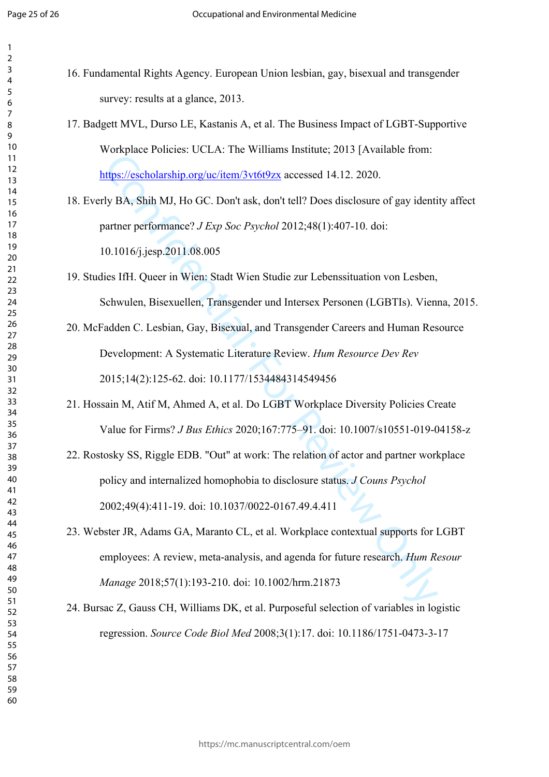16. Fundamental Rights Agency. European Union lesbian, gay, bisexual and transgender survey: results at a glance, 2013.

17. Badgett MVL, Durso LE, Kastanis A, et al. The Business Impact of LGBT-Supportive Workplace Policies: UCLA: The Williams Institute; 2013 [Available from: https://escholarship.org/uc/item/3vt6t9zx accessed 14.12. 2020.

18. Everly BA, Shih MJ, Ho GC. Don't ask, don't tell? Does disclosure of gay identity affect partner performance? *J Exp Soc Psychol* 2012;48(1):407-10. doi: 10.1016/j.jesp.2011.08.005

- 19. Studies IfH. Queer in Wien: Stadt Wien Studie zur Lebenssituation von Lesben, Schwulen, Bisexuellen, Transgender und Intersex Personen (LGBTIs). Vienna, 2015.
- [Co](https://escholarship.org/uc/item/3vt6t9zx)mplete Concelsi Celesti, the Windmins mandate, every protunate train.<br>
Ifthe://escholarship.org/uc/item/3vt6i9zx accessed 14.12. 2020.<br>
19 BA, Shih MJ, Ho GC. Don't ask, don't tell? Does diselosure of gay identif<br>
artner 20. McFadden C. Lesbian, Gay, Bisexual, and Transgender Careers and Human Resource Development: A Systematic Literature Review. *Hum Resource Dev Rev*  2015;14(2):125-62. doi: 10.1177/1534484314549456
- 21. Hossain M, Atif M, Ahmed A, et al. Do LGBT Workplace Diversity Policies Create Value for Firms? *J Bus Ethics* 2020;167:775–91. doi: 10.1007/s10551-019-04158-z
- 22. Rostosky SS, Riggle EDB. "Out" at work: The relation of actor and partner workplace policy and internalized homophobia to disclosure status. *J Couns Psychol*  2002;49(4):411-19. doi: 10.1037/0022-0167.49.4.411
- 23. Webster JR, Adams GA, Maranto CL, et al. Workplace contextual supports for LGBT employees: A review, meta-analysis, and agenda for future research. *Hum Resour Manage* 2018;57(1):193-210. doi: 10.1002/hrm.21873
- 24. Bursac Z, Gauss CH, Williams DK, et al. Purposeful selection of variables in logistic regression. *Source Code Biol Med* 2008;3(1):17. doi: 10.1186/1751-0473-3-17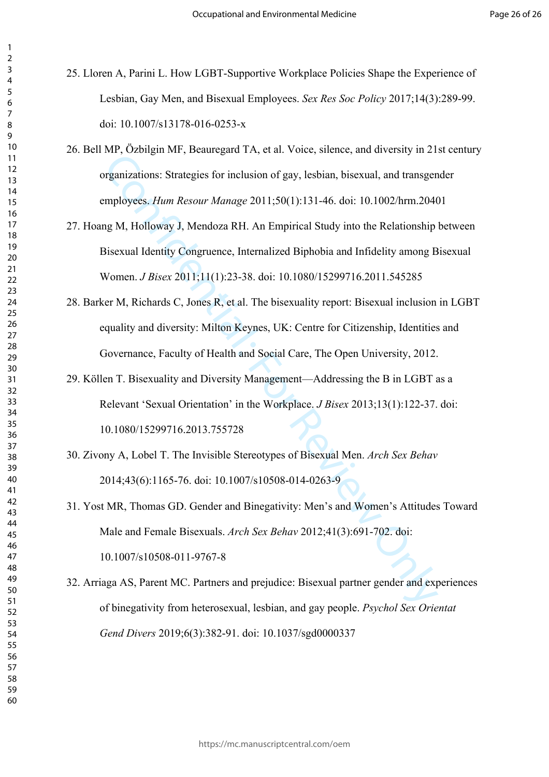- 25. Lloren A, Parini L. How LGBT-Supportive Workplace Policies Shape the Experience of Lesbian, Gay Men, and Bisexual Employees. *Sex Res Soc Policy* 2017;14(3):289-99. doi: 10.1007/s13178-016-0253-x
- 26. Bell MP, Özbilgin MF, Beauregard TA, et al. Voice, silence, and diversity in 21st century organizations: Strategies for inclusion of gay, lesbian, bisexual, and transgender employees. *Hum Resour Manage* 2011;50(1):131-46. doi: 10.1002/hrm.20401
- The Strategies Content of Strategies Content of Strategies Contents, and a transfer expansizations: Strategies for inclusion of gay, lesbian, bisexual, and transgently operatizations: Strategies for inclusion of gay, lesbi 27. Hoang M, Holloway J, Mendoza RH. An Empirical Study into the Relationship between Bisexual Identity Congruence, Internalized Biphobia and Infidelity among Bisexual Women. *J Bisex* 2011;11(1):23-38. doi: 10.1080/15299716.2011.545285
- 28. Barker M, Richards C, Jones R, et al. The bisexuality report: Bisexual inclusion in LGBT equality and diversity: Milton Keynes, UK: Centre for Citizenship, Identities and Governance, Faculty of Health and Social Care, The Open University, 2012.
- 29. Köllen T. Bisexuality and Diversity Management—Addressing the B in LGBT as a Relevant 'Sexual Orientation' in the Workplace. *J Bisex* 2013;13(1):122-37. doi: 10.1080/15299716.2013.755728
- 30. Zivony A, Lobel T. The Invisible Stereotypes of Bisexual Men. *Arch Sex Behav*  2014;43(6):1165-76. doi: 10.1007/s10508-014-0263-9
- 31. Yost MR, Thomas GD. Gender and Binegativity: Men's and Women's Attitudes Toward Male and Female Bisexuals. *Arch Sex Behav* 2012;41(3):691-702. doi: 10.1007/s10508-011-9767-8
- 32. Arriaga AS, Parent MC. Partners and prejudice: Bisexual partner gender and experiences of binegativity from heterosexual, lesbian, and gay people. *Psychol Sex Orientat Gend Divers* 2019;6(3):382-91. doi: 10.1037/sgd0000337